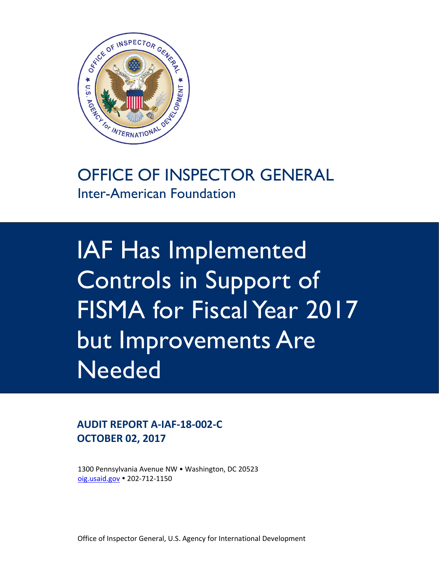

### OFFICE OF INSPECTOR GENERAL Inter-American Foundation

IAF Has Implemented Controls in Support of FISMA for Fiscal Year 2017 but Improvements Are **Needed** 

### **AUDIT REPORT A‐IAF‐18‐002‐C OCTOBER 02, 2017**

 1300 Pennsylvania Avenue NW • Washington, DC 20523 oig.usaid.gov • 202-712-1150

Office of Inspector General, U.S. Agency for International Development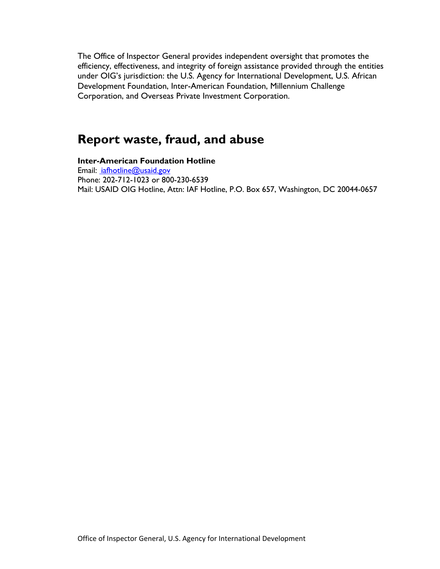The Office of Inspector General provides independent oversight that promotes the efficiency, effectiveness, and integrity of foreign assistance provided through the entities under OIG's jurisdiction: the U.S. Agency for International Development, U.S. African Development Foundation, Inter-American Foundation, Millennium Challenge Corporation, and Overseas Private Investment Corporation.

### **Report waste, fraud, and abuse**

**Inter-American Foundation Hotline**  Email: iafhotline@usaid.gov Phone: 202-712-1023 or 800-230-6539 Mail: USAID OIG Hotline, Attn: IAF Hotline, P.O. Box 657, Washington, DC 20044-0657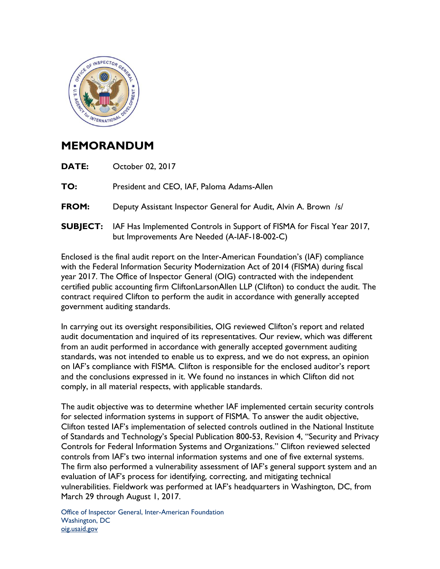

### **MEMORANDUM**

| DATE:        | October 02, 2017                                                                                                                       |
|--------------|----------------------------------------------------------------------------------------------------------------------------------------|
| TO:          | President and CEO, IAF, Paloma Adams-Allen                                                                                             |
| <b>FROM:</b> | Deputy Assistant Inspector General for Audit, Alvin A. Brown /s/                                                                       |
|              | <b>SUBJECT:</b> IAF Has Implemented Controls in Support of FISMA for Fiscal Year 2017,<br>but Improvements Are Needed (A-IAF-18-002-C) |

Enclosed is the final audit report on the Inter-American Foundation's (IAF) compliance with the Federal Information Security Modernization Act of 2014 (FISMA) during fiscal year 2017. The Office of Inspector General (OIG) contracted with the independent certified public accounting firm CliftonLarsonAllen LLP (Clifton) to conduct the audit. The contract required Clifton to perform the audit in accordance with generally accepted government auditing standards.

In carrying out its oversight responsibilities, OIG reviewed Clifton's report and related audit documentation and inquired of its representatives. Our review, which was different from an audit performed in accordance with generally accepted government auditing standards, was not intended to enable us to express, and we do not express, an opinion on IAF's compliance with FISMA. Clifton is responsible for the enclosed auditor's report and the conclusions expressed in it. We found no instances in which Clifton did not comply, in all material respects, with applicable standards.

The audit objective was to determine whether IAF implemented certain security controls for selected information systems in support of FISMA. To answer the audit objective, Clifton tested IAF's implementation of selected controls outlined in the National Institute of Standards and Technology's Special Publication 800-53, Revision 4, "Security and Privacy Controls for Federal Information Systems and Organizations." Clifton reviewed selected controls from IAF's two internal information systems and one of five external systems. The firm also performed a vulnerability assessment of IAF's general support system and an evaluation of IAF's process for identifying, correcting, and mitigating technical vulnerabilities. Fieldwork was performed at IAF's headquarters in Washington, DC, from March 29 through August 1, 2017.

Office of Inspector General, Inter-American Foundation Washington, DC oig.usaid.gov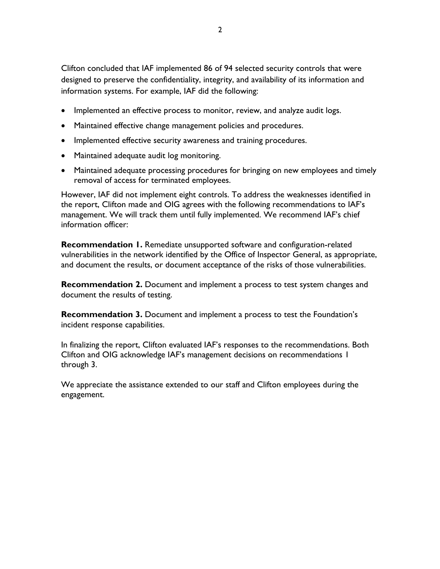Clifton concluded that IAF implemented 86 of 94 selected security controls that were designed to preserve the confidentiality, integrity, and availability of its information and information systems. For example, IAF did the following:

- Implemented an effective process to monitor, review, and analyze audit logs.
- Maintained effective change management policies and procedures.
- Implemented effective security awareness and training procedures.
- Maintained adequate audit log monitoring.
- Maintained adequate processing procedures for bringing on new employees and timely removal of access for terminated employees.

However, IAF did not implement eight controls. To address the weaknesses identified in the report, Clifton made and OIG agrees with the following recommendations to IAF's management. We will track them until fully implemented. We recommend IAF's chief information officer:

**Recommendation 1.** Remediate unsupported software and configuration-related vulnerabilities in the network identified by the Office of Inspector General, as appropriate, and document the results, or document acceptance of the risks of those vulnerabilities.

**Recommendation 2.** Document and implement a process to test system changes and document the results of testing.

**Recommendation 3.** Document and implement a process to test the Foundation's incident response capabilities.

In finalizing the report, Clifton evaluated IAF's responses to the recommendations. Both Clifton and OIG acknowledge IAF's management decisions on recommendations 1 through 3.

We appreciate the assistance extended to our staff and Clifton employees during the engagement.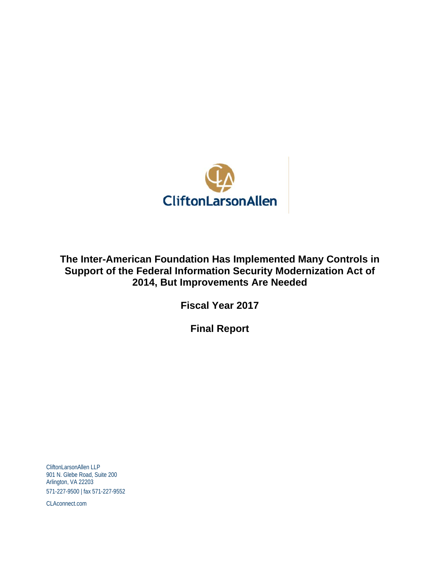

**The Inter-American Foundation Has Implemented Many Controls in Support of the Federal Information Security Modernization Act of 2014, But Improvements Are Needed** 

**Fiscal Year 2017** 

**Final Report** 

CliftonLarsonAllen LLP 901 N. Glebe Road, Suite 200 Arlington, VA 22203 571-227-9500 | fax 571-227-9552

CLAconnect.com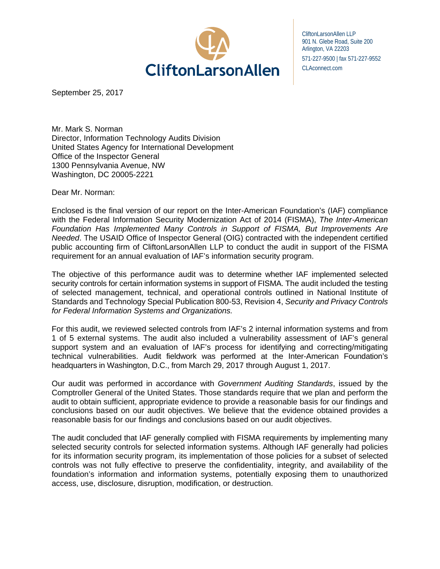

CliftonLarsonAllen LLP 901 N. Glebe Road, Suite 200 Arlington, VA 22203 571-227-9500 | fax 571-227-9552 CLAconnect.com

September 25, 2017

Mr. Mark S. Norman Director, Information Technology Audits Division United States Agency for International Development Office of the Inspector General 1300 Pennsylvania Avenue, NW Washington, DC 20005-2221

Dear Mr. Norman:

Enclosed is the final version of our report on the Inter-American Foundation's (IAF) compliance with the Federal Information Security Modernization Act of 2014 (FISMA), *The Inter-American Foundation Has Implemented Many Controls in Support of FISMA, But Improvements Are Needed*. The USAID Office of Inspector General (OIG) contracted with the independent certified public accounting firm of CliftonLarsonAllen LLP to conduct the audit in support of the FISMA requirement for an annual evaluation of IAF's information security program.

 The objective of this performance audit was to determine whether IAF implemented selected security controls for certain information systems in support of FISMA. The audit included the testing of selected management, technical, and operational controls outlined in National Institute of Standards and Technology Special Publication 800-53, Revision 4, *Security and Privacy Controls for Federal Information Systems and Organizations.* 

 headquarters in Washington, D.C., from March 29, 2017 through August 1, 2017. For this audit, we reviewed selected controls from IAF's 2 internal information systems and from 1 of 5 external systems. The audit also included a vulnerability assessment of IAF's general support system and an evaluation of IAF's process for identifying and correcting/mitigating technical vulnerabilities. Audit fieldwork was performed at the Inter-American Foundation's

Our audit was performed in accordance with *Government Auditing Standards*, issued by the Comptroller General of the United States. Those standards require that we plan and perform the audit to obtain sufficient, appropriate evidence to provide a reasonable basis for our findings and conclusions based on our audit objectives. We believe that the evidence obtained provides a reasonable basis for our findings and conclusions based on our audit objectives.

The audit concluded that IAF generally complied with FISMA requirements by implementing many selected security controls for selected information systems. Although IAF generally had policies for its information security program, its implementation of those policies for a subset of selected controls was not fully effective to preserve the confidentiality, integrity, and availability of the foundation's information and information systems, potentially exposing them to unauthorized access, use, disclosure, disruption, modification, or destruction.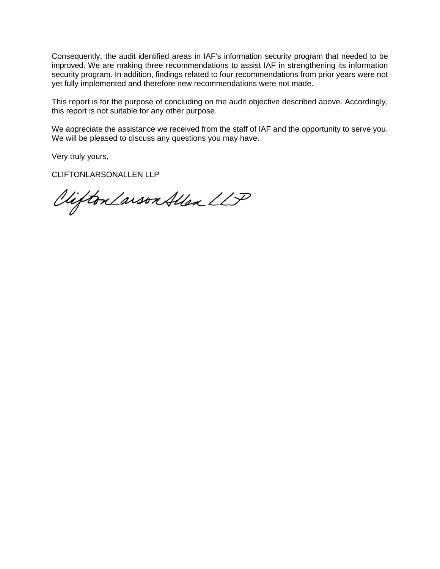Consequently, the audit identified areas in IAF's information security program that needed to be improved. We are making three recommendations to assist IAF in strengthening its information security program. In addition, findings related to four recommendations from prior years were not yet fully implemented and therefore new recommendations were not made.

This report is for the purpose of concluding on the audit objective described above. Accordingly, this report is not suitable for any other purpose.

We appreciate the assistance we received from the staff of IAF and the opportunity to serve you. We will be pleased to discuss any questions you may have.

Very truly yours,

CLIFTONLARSONALLEN LLP

Clifton Larson Allen LLP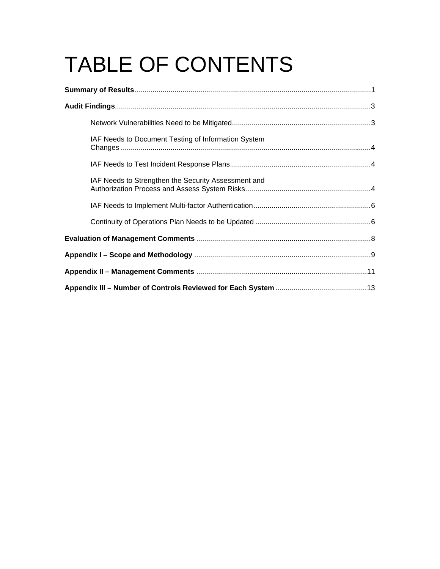# TABLE OF CONTENTS

| IAF Needs to Document Testing of Information System |  |  |  |
|-----------------------------------------------------|--|--|--|
|                                                     |  |  |  |
| IAF Needs to Strengthen the Security Assessment and |  |  |  |
|                                                     |  |  |  |
|                                                     |  |  |  |
|                                                     |  |  |  |
|                                                     |  |  |  |
|                                                     |  |  |  |
|                                                     |  |  |  |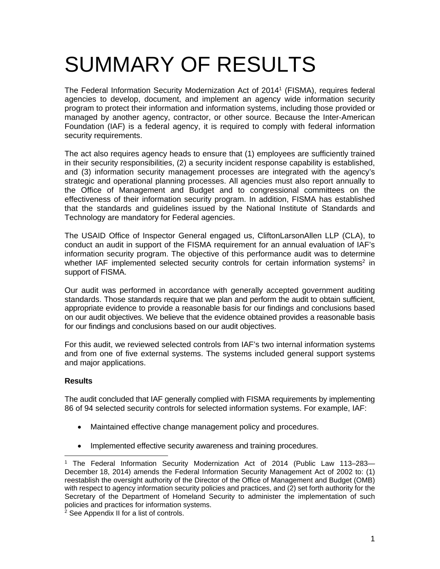# SUMMARY OF RESULTS

The Federal Information Security Modernization Act of 20141 (FISMA), requires federal agencies to develop, document, and implement an agency wide information security program to protect their information and information systems, including those provided or managed by another agency, contractor, or other source. Because the Inter-American Foundation (IAF) is a federal agency, it is required to comply with federal information security requirements.

The act also requires agency heads to ensure that (1) employees are sufficiently trained in their security responsibilities, (2) a security incident response capability is established, and (3) information security management processes are integrated with the agency's strategic and operational planning processes. All agencies must also report annually to the Office of Management and Budget and to congressional committees on the effectiveness of their information security program. In addition, FISMA has established that the standards and guidelines issued by the National Institute of Standards and Technology are mandatory for Federal agencies.

 support of FISMA. The USAID Office of Inspector General engaged us, CliftonLarsonAllen LLP (CLA), to conduct an audit in support of the FISMA requirement for an annual evaluation of IAF's information security program. The objective of this performance audit was to determine whether IAF implemented selected security controls for certain information systems<sup>2</sup> in

 standards. Those standards require that we plan and perform the audit to obtain sufficient, on our audit objectives. We believe that the evidence obtained provides a reasonable basis Our audit was performed in accordance with generally accepted government auditing appropriate evidence to provide a reasonable basis for our findings and conclusions based for our findings and conclusions based on our audit objectives.

For this audit, we reviewed selected controls from IAF's two internal information systems and from one of five external systems. The systems included general support systems and major applications.

#### **Results**

-

The audit concluded that IAF generally complied with FISMA requirements by implementing 86 of 94 selected security controls for selected information systems. For example, IAF:

- Maintained effective change management policy and procedures.
- Implemented effective security awareness and training procedures.

<sup>&</sup>lt;sup>1</sup> The Federal Information Security Modernization Act of 2014 (Public Law 113–283– December 18, 2014) amends the Federal Information Security Management Act of 2002 to: (1) reestablish the oversight authority of the Director of the Office of Management and Budget (OMB) with respect to agency information security policies and practices, and (2) set forth authority for the Secretary of the Department of Homeland Security to administer the implementation of such policies and practices for information systems.

 $2$  See Appendix II for a list of controls.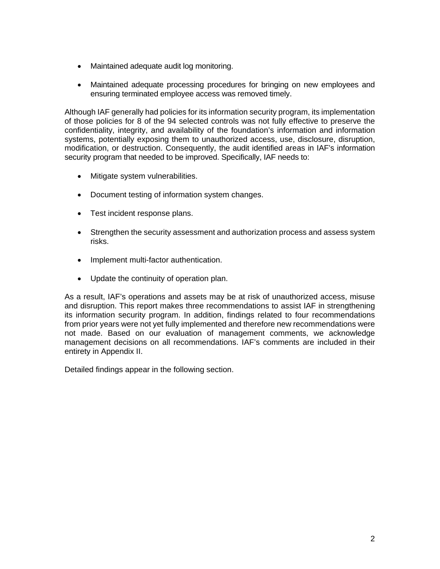- Maintained adequate audit log monitoring.
- Maintained adequate processing procedures for bringing on new employees and ensuring terminated employee access was removed timely.

 modification, or destruction. Consequently, the audit identified areas in IAF's information security program that needed to be improved. Specifically, IAF needs to: Although IAF generally had policies for its information security program, its implementation of those policies for 8 of the 94 selected controls was not fully effective to preserve the confidentiality, integrity, and availability of the foundation's information and information systems, potentially exposing them to unauthorized access, use, disclosure, disruption,

- Mitigate system vulnerabilities.
- Document testing of information system changes.
- Test incident response plans.
- Strengthen the security assessment and authorization process and assess system risks.
- Implement multi-factor authentication.
- Update the continuity of operation plan.

As a result, IAF's operations and assets may be at risk of unauthorized access, misuse and disruption. This report makes three recommendations to assist IAF in strengthening its information security program. In addition, findings related to four recommendations from prior years were not yet fully implemented and therefore new recommendations were not made. Based on our evaluation of management comments, we acknowledge management decisions on all recommendations. IAF's comments are included in their entirety in Appendix II.

Detailed findings appear in the following section.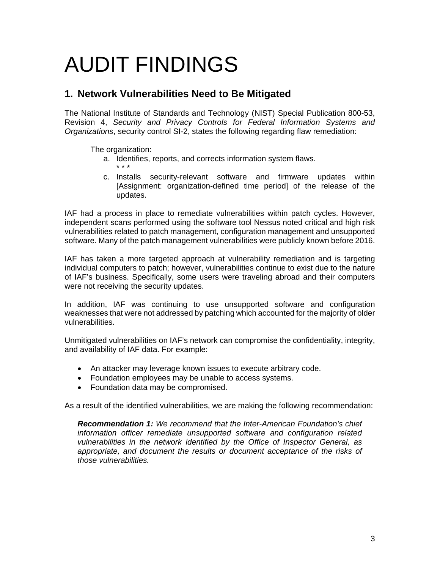## AUDIT FINDINGS

#### **1. Network Vulnerabilities Need to Be Mitigated**

The National Institute of Standards and Technology (NIST) Special Publication 800-53, Revision 4, *Security and Privacy Controls for Federal Information Systems and Organizations*, security control SI-2, states the following regarding flaw remediation:

The organization:

- a. Identifies, reports, and corrects information system flaws. \* \* \*
- c. Installs security-relevant software and firmware updates within [Assignment: organization-defined time period] of the release of the updates.

 IAF had a process in place to remediate vulnerabilities within patch cycles. However, independent scans performed using the software tool Nessus noted critical and high risk vulnerabilities related to patch management, configuration management and unsupported software. Many of the patch management vulnerabilities were publicly known before 2016.

IAF has taken a more targeted approach at vulnerability remediation and is targeting individual computers to patch; however, vulnerabilities continue to exist due to the nature of IAF's business. Specifically, some users were traveling abroad and their computers were not receiving the security updates.

In addition, IAF was continuing to use unsupported software and configuration weaknesses that were not addressed by patching which accounted for the majority of older vulnerabilities.

Unmitigated vulnerabilities on IAF's network can compromise the confidentiality, integrity, and availability of IAF data. For example:

- An attacker may leverage known issues to execute arbitrary code.
- Foundation employees may be unable to access systems.
- Foundation data may be compromised.

As a result of the identified vulnerabilities, we are making the following recommendation:

*Recommendation 1: We recommend that the Inter-American Foundation's chief information officer remediate unsupported software and configuration related vulnerabilities in the network identified by the Office of Inspector General, as*  appropriate, and document the results or document acceptance of the risks of *those vulnerabilities.*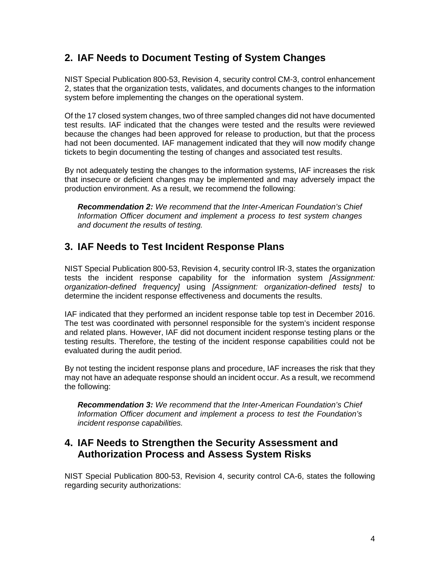#### **2. IAF Needs to Document Testing of System Changes**

NIST Special Publication 800-53, Revision 4, security control CM-3, control enhancement 2, states that the organization tests, validates, and documents changes to the information system before implementing the changes on the operational system.

Of the 17 closed system changes, two of three sampled changes did not have documented test results. IAF indicated that the changes were tested and the results were reviewed because the changes had been approved for release to production, but that the process had not been documented. IAF management indicated that they will now modify change tickets to begin documenting the testing of changes and associated test results.

By not adequately testing the changes to the information systems, IAF increases the risk that insecure or deficient changes may be implemented and may adversely impact the production environment. As a result, we recommend the following:

*Recommendation 2: We recommend that the Inter-American Foundation's Chief Information Officer document and implement a process to test system changes and document the results of testing.* 

#### **3. IAF Needs to Test Incident Response Plans**

NIST Special Publication 800-53, Revision 4, security control IR-3, states the organization tests the incident response capability for the information system *[Assignment: organization-defined frequency]* using *[Assignment: organization-defined tests]* to determine the incident response effectiveness and documents the results.

IAF indicated that they performed an incident response table top test in December 2016. The test was coordinated with personnel responsible for the system's incident response and related plans. However, IAF did not document incident response testing plans or the testing results. Therefore, the testing of the incident response capabilities could not be evaluated during the audit period.

By not testing the incident response plans and procedure, IAF increases the risk that they may not have an adequate response should an incident occur. As a result, we recommend the following:

*Recommendation 3: We recommend that the Inter-American Foundation's Chief Information Officer document and implement a process to test the Foundation's incident response capabilities.* 

#### **4. IAF Needs to Strengthen the Security Assessment and Authorization Process and Assess System Risks**

regarding security authorizations: NIST Special Publication 800-53, Revision 4, security control CA-6, states the following regarding security authorizations:<br>
4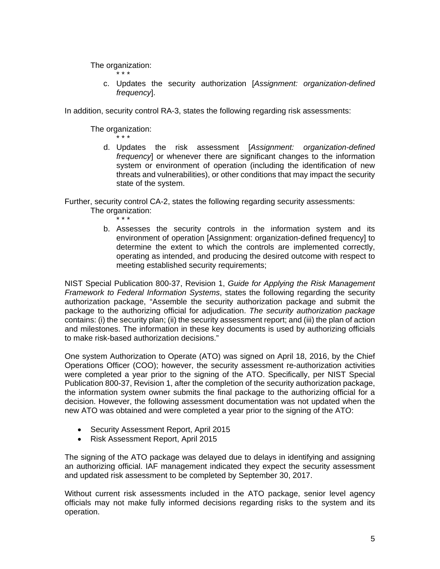The organization: \* \* \*

> c. Updates the security authorization [*Assignment: organization-defined frequency*].

In addition, security control RA-3, states the following regarding risk assessments:

The organization:

\* \* \* d. Updates the risk assessment [*Assignment: organization-defined frequency*] or whenever there are significant changes to the information system or environment of operation (including the identification of new threats and vulnerabilities), or other conditions that may impact the security state of the system.

Further, security control CA-2, states the following regarding security assessments: The organization:

- \* \* \*
- b. Assesses the security controls in the information system and its environment of operation [Assignment: organization-defined frequency] to determine the extent to which the controls are implemented correctly, operating as intended, and producing the desired outcome with respect to meeting established security requirements;

NIST Special Publication 800-37, Revision 1, *Guide for Applying the Risk Management Framework to Federal Information Systems*, states the following regarding the security authorization package, "Assemble the security authorization package and submit the package to the authorizing official for adjudication. *The security authorization package*  contains: (i) the security plan; (ii) the security assessment report; and (iii) the plan of action and milestones. The information in these key documents is used by authorizing officials to make risk-based authorization decisions."

One system Authorization to Operate (ATO) was signed on April 18, 2016, by the Chief Operations Officer (COO); however, the security assessment re-authorization activities were completed a year prior to the signing of the ATO. Specifically, per NIST Special Publication 800-37, Revision 1, after the completion of the security authorization package, the information system owner submits the final package to the authorizing official for a decision. However, the following assessment documentation was not updated when the new ATO was obtained and were completed a year prior to the signing of the ATO:

- Security Assessment Report, April 2015
- Risk Assessment Report, April 2015

The signing of the ATO package was delayed due to delays in identifying and assigning an authorizing official. IAF management indicated they expect the security assessment and updated risk assessment to be completed by September 30, 2017.

Without current risk assessments included in the ATO package, senior level agency officials may not make fully informed decisions regarding risks to the system and its operation.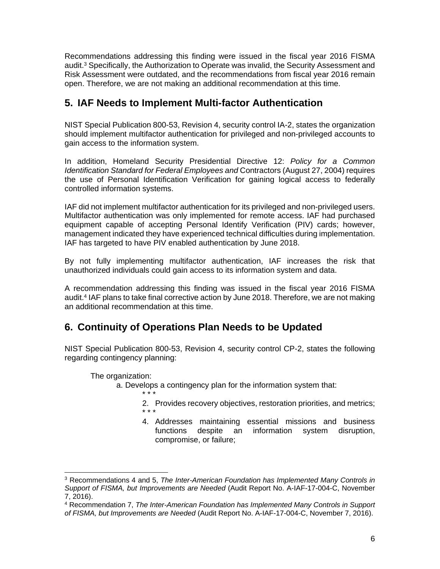Recommendations addressing this finding were issued in the fiscal year 2016 FISMA audit.3 Specifically, the Authorization to Operate was invalid, the Security Assessment and Risk Assessment were outdated, and the recommendations from fiscal year 2016 remain open. Therefore, we are not making an additional recommendation at this time.

#### **5. IAF Needs to Implement Multi-factor Authentication**

NIST Special Publication 800-53, Revision 4, security control IA-2, states the organization should implement multifactor authentication for privileged and non-privileged accounts to gain access to the information system.

 the use of Personal Identification Verification for gaining logical access to federally In addition, Homeland Security Presidential Directive 12: *Policy for a Common Identification Standard for Federal Employees and* Contractors (August 27, 2004) requires controlled information systems.

IAF did not implement multifactor authentication for its privileged and non-privileged users. Multifactor authentication was only implemented for remote access. IAF had purchased equipment capable of accepting Personal Identify Verification (PIV) cards; however, management indicated they have experienced technical difficulties during implementation. IAF has targeted to have PIV enabled authentication by June 2018.

By not fully implementing multifactor authentication, IAF increases the risk that unauthorized individuals could gain access to its information system and data.

A recommendation addressing this finding was issued in the fiscal year 2016 FISMA audit.4 IAF plans to take final corrective action by June 2018. Therefore, we are not making an additional recommendation at this time.

#### **6. Continuity of Operations Plan Needs to be Updated**

NIST Special Publication 800-53, Revision 4, security control CP-2, states the following regarding contingency planning:

The organization:

a. Develops a contingency plan for the information system that:

\* \* \*

- 2. Provides recovery objectives, restoration priorities, and metrics; \* \* \*
- 4. Addresses maintaining essential missions and business functions despite an information system disruption, compromise, or failure;

<sup>3</sup> Recommendations 4 and 5, *The Inter-American Foundation has Implemented Many Controls in Support of FISMA, but Improvements are Needed* (Audit Report No. A-IAF-17-004-C, November 7, 2016).

<sup>4</sup> Recommendation 7, *The Inter-American Foundation has Implemented Many Controls in Support of FISMA, but Improvements are Needed* (Audit Report No. A-IAF-17-004-C, November 7, 2016).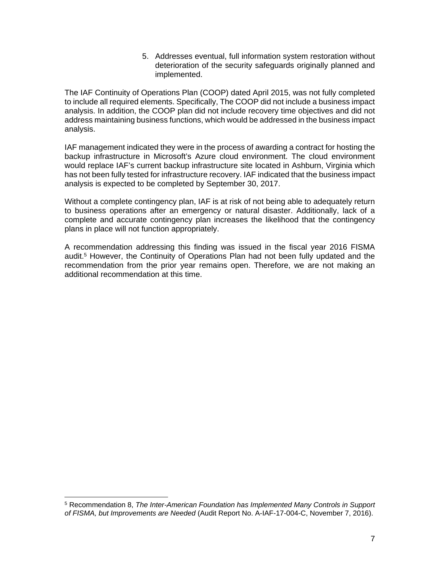5. Addresses eventual, full information system restoration without deterioration of the security safeguards originally planned and implemented.

The IAF Continuity of Operations Plan (COOP) dated April 2015, was not fully completed to include all required elements. Specifically, The COOP did not include a business impact analysis. In addition, the COOP plan did not include recovery time objectives and did not address maintaining business functions, which would be addressed in the business impact analysis.

IAF management indicated they were in the process of awarding a contract for hosting the backup infrastructure in Microsoft's Azure cloud environment. The cloud environment would replace IAF's current backup infrastructure site located in Ashburn, Virginia which has not been fully tested for infrastructure recovery. IAF indicated that the business impact analysis is expected to be completed by September 30, 2017.

Without a complete contingency plan, IAF is at risk of not being able to adequately return to business operations after an emergency or natural disaster. Additionally, lack of a complete and accurate contingency plan increases the likelihood that the contingency plans in place will not function appropriately.

A recommendation addressing this finding was issued in the fiscal year 2016 FISMA audit.5 However, the Continuity of Operations Plan had not been fully updated and the recommendation from the prior year remains open. Therefore, we are not making an additional recommendation at this time.

<sup>5</sup> Recommendation 8, *The Inter-American Foundation has Implemented Many Controls in Support of FISMA, but Improvements are Needed* (Audit Report No. A-IAF-17-004-C, November 7, 2016).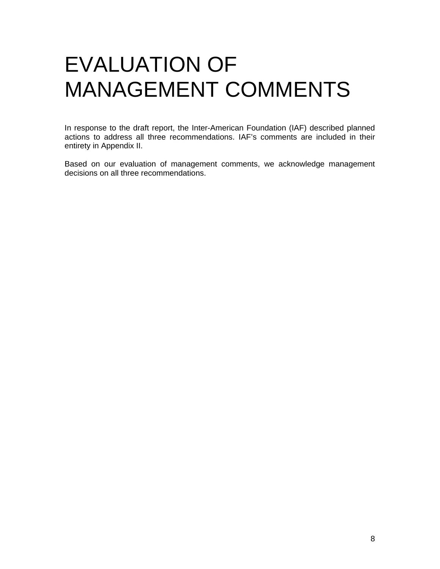### EVALUATION OF MANAGEMENT COMMENTS

In response to the draft report, the Inter-American Foundation (IAF) described planned actions to address all three recommendations. IAF's comments are included in their entirety in Appendix II.

Based on our evaluation of management comments, we acknowledge management decisions on all three recommendations.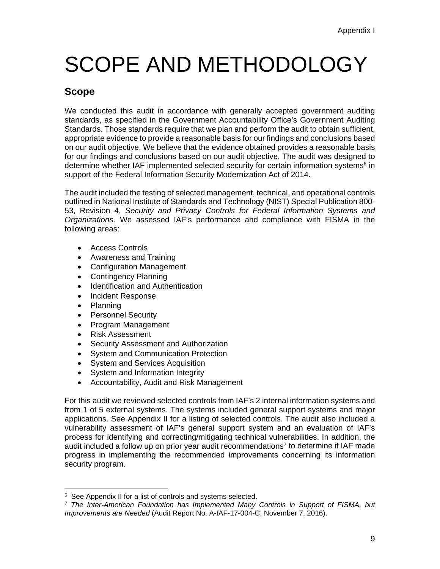# SCOPE AND METHODOLOGY

#### **Scope**

We conducted this audit in accordance with generally accepted government auditing standards, as specified in the Government Accountability Office's Government Auditing Standards. Those standards require that we plan and perform the audit to obtain sufficient, appropriate evidence to provide a reasonable basis for our findings and conclusions based on our audit objective. We believe that the evidence obtained provides a reasonable basis for our findings and conclusions based on our audit objective. The audit was designed to determine whether IAF implemented selected security for certain information systems<sup>6</sup> in support of the Federal Information Security Modernization Act of 2014.

The audit included the testing of selected management, technical, and operational controls outlined in National Institute of Standards and Technology (NIST) Special Publication 800- 53, Revision 4, *Security and Privacy Controls for Federal Information Systems and Organizations.* We assessed IAF's performance and compliance with FISMA in the following areas:

- Access Controls
- Awareness and Training
- Configuration Management
- Contingency Planning
- Identification and Authentication
- Incident Response
- Planning

- Personnel Security
- Program Management
- Risk Assessment
- **Security Assessment and Authorization**
- System and Communication Protection
- System and Services Acquisition
- System and Information Integrity
- Accountability, Audit and Risk Management

For this audit we reviewed selected controls from IAF's 2 internal information systems and from 1 of 5 external systems. The systems included general support systems and major applications. See Appendix II for a listing of selected controls. The audit also included a vulnerability assessment of IAF's general support system and an evaluation of IAF's process for identifying and correcting/mitigating technical vulnerabilities. In addition, the audit included a follow up on prior year audit recommendations<sup>7</sup> to determine if IAF made progress in implementing the recommended improvements concerning its information security program.

<sup>&</sup>lt;sup>6</sup> See Appendix II for a list of controls and systems selected.<br><sup>7</sup> *The Inter-American Foundation has Implemented Many Controls in Support of FISMA, but Improvements are Needed* (Audit Report No. A-IAF-17-004-C, November 7, 2016).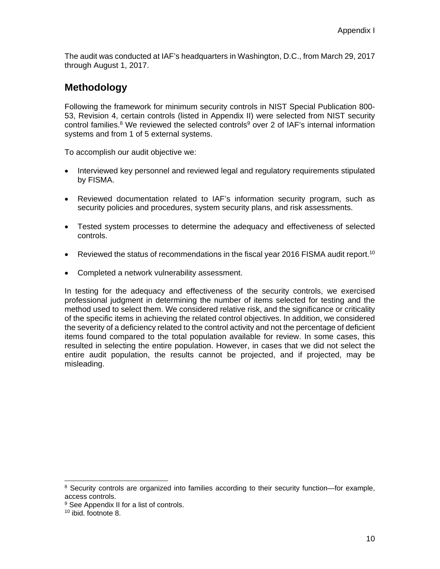The audit was conducted at IAF's headquarters in Washington, D.C., from March 29, 2017 through August 1, 2017.

#### **Methodology**

Following the framework for minimum security controls in NIST Special Publication 800- 53, Revision 4, certain controls (listed in Appendix II) were selected from NIST security control families.<sup>8</sup> We reviewed the selected controls<sup>9</sup> over 2 of IAF's internal information systems and from 1 of 5 external systems.

To accomplish our audit objective we:

- Interviewed key personnel and reviewed legal and regulatory requirements stipulated by FISMA.
- Reviewed documentation related to IAF's information security program, such as security policies and procedures, system security plans, and risk assessments.
- Tested system processes to determine the adequacy and effectiveness of selected controls.
- **•** Reviewed the status of recommendations in the fiscal year 2016 FISMA audit report.<sup>10</sup>
- Completed a network vulnerability assessment.

In testing for the adequacy and effectiveness of the security controls, we exercised professional judgment in determining the number of items selected for testing and the method used to select them. We considered relative risk, and the significance or criticality of the specific items in achieving the related control objectives. In addition, we considered the severity of a deficiency related to the control activity and not the percentage of deficient items found compared to the total population available for review. In some cases, this resulted in selecting the entire population. However, in cases that we did not select the entire audit population, the results cannot be projected, and if projected, may be misleading.

<sup>&</sup>lt;sup>8</sup> Security controls are organized into families according to their security function—for example, access controls.

<sup>&</sup>lt;sup>9</sup> See Appendix II for a list of controls.

<sup>10</sup> ibid. footnote 8.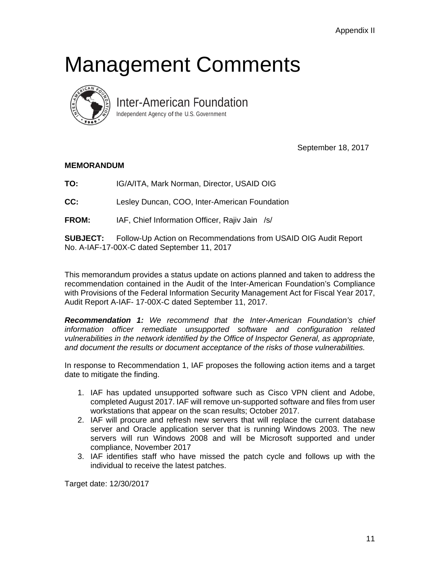### Management Comments



Inter-American Foundation

Independent Agency of the U.S. Government

September 18, 2017

#### **MEMORANDUM**

**TO:** IG/A/ITA, Mark Norman, Director, USAID OIG

 Lesley Duncan, COO, Inter-American Foundation

**FROM:** IAF, Chief Information Officer, Rajiv Jain /s/

**SUBJECT:** Follow-Up Action on Recommendations from USAID OIG Audit Report No. A-IAF-17-00X-C dated September 11, 2017

This memorandum provides a status update on actions planned and taken to address the recommendation contained in the Audit of the Inter-American Foundation's Compliance with Provisions of the Federal Information Security Management Act for Fiscal Year 2017, Audit Report A-IAF- 17-00X-C dated September 11, 2017.

*Recommendation 1: We recommend that the Inter-American Foundation's chief information officer remediate unsupported software and configuration related vulnerabilities in the network identified by the Office of Inspector General, as appropriate, and document the results or document acceptance of the risks of those vulnerabilities.* 

In response to Recommendation 1, IAF proposes the following action items and a target date to mitigate the finding.

- 1. IAF has updated unsupported software such as Cisco VPN client and Adobe, completed August 2017. IAF will remove un-supported software and files from user workstations that appear on the scan results; October 2017.
- 2. IAF will procure and refresh new servers that will replace the current database server and Oracle application server that is running Windows 2003. The new servers will run Windows 2008 and will be Microsoft supported and under compliance, November 2017
- 3. IAF identifies staff who have missed the patch cycle and follows up with the individual to receive the latest patches.

Target date: 12/30/2017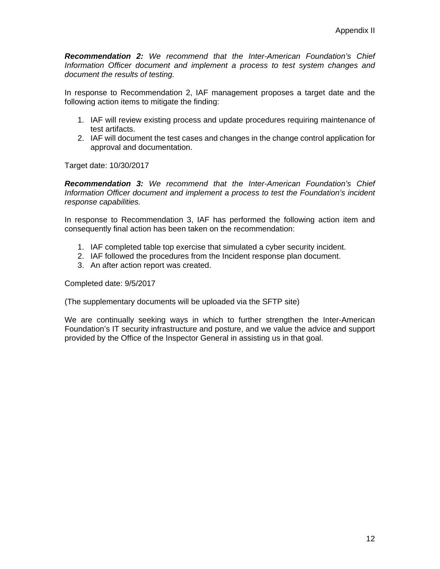*Recommendation 2: We recommend that the Inter-American Foundation's Chief Information Officer document and implement a process to test system changes and document the results of testing.* 

In response to Recommendation 2, IAF management proposes a target date and the following action items to mitigate the finding:

- 1. IAF will review existing process and update procedures requiring maintenance of test artifacts.
- 2. IAF will document the test cases and changes in the change control application for approval and documentation.

Target date: 10/30/2017

*Recommendation 3: We recommend that the Inter-American Foundation's Chief Information Officer document and implement a process to test the Foundation's incident response capabilities.* 

In response to Recommendation 3, IAF has performed the following action item and consequently final action has been taken on the recommendation:

- 1. IAF completed table top exercise that simulated a cyber security incident.
- 2. IAF followed the procedures from the Incident response plan document.
- 3. An after action report was created.

Completed date: 9/5/2017

(The supplementary documents will be uploaded via the SFTP site)

We are continually seeking ways in which to further strengthen the Inter-American Foundation's IT security infrastructure and posture, and we value the advice and support provided by the Office of the Inspector General in assisting us in that goal.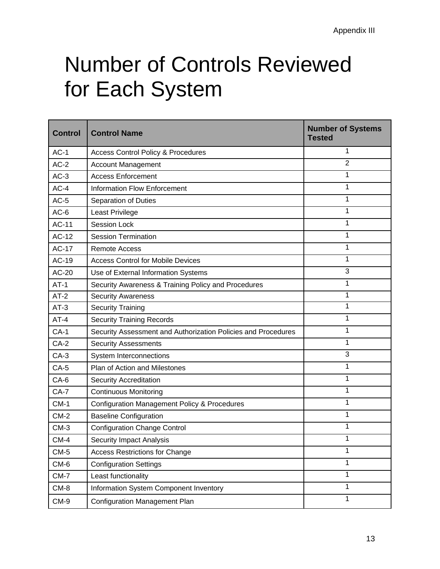# Number of Controls Reviewed for Each System

| <b>Control</b> | <b>Control Name</b>                                           | <b>Number of Systems</b><br><b>Tested</b> |
|----------------|---------------------------------------------------------------|-------------------------------------------|
| $AC-1$         | <b>Access Control Policy &amp; Procedures</b>                 | 1                                         |
| $AC-2$         | <b>Account Management</b>                                     | $\overline{2}$                            |
| $AC-3$         | <b>Access Enforcement</b>                                     | 1                                         |
| $AC-4$         | <b>Information Flow Enforcement</b>                           | 1                                         |
| $AC-5$         | <b>Separation of Duties</b>                                   | 1                                         |
| $AC-6$         | Least Privilege                                               | 1                                         |
| <b>AC-11</b>   | <b>Session Lock</b>                                           | 1                                         |
| AC-12          | <b>Session Termination</b>                                    | 1                                         |
| <b>AC-17</b>   | <b>Remote Access</b>                                          | 1                                         |
| AC-19          | <b>Access Control for Mobile Devices</b>                      | 1                                         |
| AC-20          | Use of External Information Systems                           | 3                                         |
| $AT-1$         | Security Awareness & Training Policy and Procedures           | 1                                         |
| $AT-2$         | <b>Security Awareness</b>                                     | 1                                         |
| $AT-3$         | <b>Security Training</b>                                      | 1                                         |
| $AT-4$         | <b>Security Training Records</b>                              | 1                                         |
| $CA-1$         | Security Assessment and Authorization Policies and Procedures | 1                                         |
| $CA-2$         | <b>Security Assessments</b>                                   | 1                                         |
| $CA-3$         | System Interconnections                                       | 3                                         |
| $CA-5$         | Plan of Action and Milestones                                 | 1                                         |
| $CA-6$         | <b>Security Accreditation</b>                                 | 1                                         |
| $CA-7$         | <b>Continuous Monitoring</b>                                  | 1                                         |
| $CM-1$         | <b>Configuration Management Policy &amp; Procedures</b>       | 1                                         |
| $CM-2$         | <b>Baseline Configuration</b>                                 | 1                                         |
| $CM-3$         | <b>Configuration Change Control</b>                           | 1                                         |
| $CM-4$         | <b>Security Impact Analysis</b>                               | 1                                         |
| $CM-5$         | <b>Access Restrictions for Change</b>                         | 1                                         |
| CM-6           | <b>Configuration Settings</b>                                 | $\mathbf{1}$                              |
| $CM-7$         | Least functionality                                           | 1                                         |
| CM-8           | Information System Component Inventory                        | 1                                         |
| CM-9           | <b>Configuration Management Plan</b>                          | $\mathbf{1}$                              |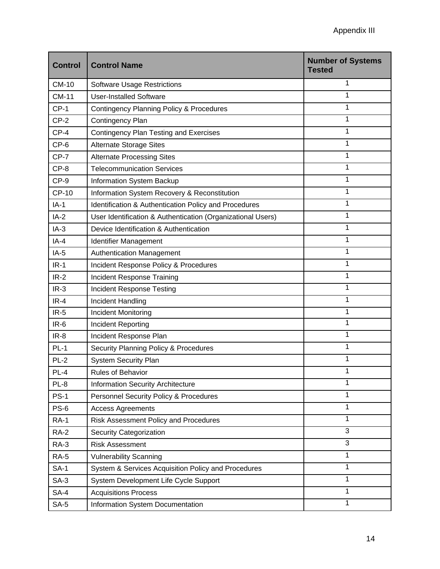| <b>Control</b> | <b>Control Name</b>                                         | <b>Number of Systems</b><br><b>Tested</b> |
|----------------|-------------------------------------------------------------|-------------------------------------------|
| <b>CM-10</b>   | <b>Software Usage Restrictions</b>                          | 1                                         |
| <b>CM-11</b>   | <b>User-Installed Software</b>                              | 1                                         |
| $CP-1$         | <b>Contingency Planning Policy &amp; Procedures</b>         | 1                                         |
| $CP-2$         | Contingency Plan                                            | 1                                         |
| $CP-4$         | <b>Contingency Plan Testing and Exercises</b>               | 1                                         |
| $CP-6$         | <b>Alternate Storage Sites</b>                              | 1                                         |
| $CP-7$         | <b>Alternate Processing Sites</b>                           | 1                                         |
| $CP-8$         | <b>Telecommunication Services</b>                           | 1                                         |
| $CP-9$         | Information System Backup                                   | 1                                         |
| <b>CP-10</b>   | Information System Recovery & Reconstitution                | 1                                         |
| $IA-1$         | Identification & Authentication Policy and Procedures       | 1                                         |
| $IA-2$         | User Identification & Authentication (Organizational Users) | 1                                         |
| $IA-3$         | Device Identification & Authentication                      | 1                                         |
| $IA-4$         | Identifier Management                                       | 1                                         |
| $IA-5$         | <b>Authentication Management</b>                            | 1                                         |
| $IR-1$         | Incident Response Policy & Procedures                       | 1                                         |
| $IR-2$         | Incident Response Training                                  | 1                                         |
| $IR-3$         | <b>Incident Response Testing</b>                            | 1                                         |
| $IR-4$         | Incident Handling                                           | 1                                         |
| $IR-5$         | Incident Monitoring                                         | 1                                         |
| $IR-6$         | Incident Reporting                                          | 1                                         |
| $IR-8$         | Incident Response Plan                                      | 1                                         |
| $PL-1$         | Security Planning Policy & Procedures                       | 1                                         |
| $PL-2$         | <b>System Security Plan</b>                                 | 1                                         |
| $PL-4$         | <b>Rules of Behavior</b>                                    | 1                                         |
| $PL-8$         | <b>Information Security Architecture</b>                    | 1                                         |
| $PS-1$         | Personnel Security Policy & Procedures                      | 1                                         |
| $PS-6$         | <b>Access Agreements</b>                                    | 1                                         |
| <b>RA-1</b>    | Risk Assessment Policy and Procedures                       | 1                                         |
| <b>RA-2</b>    | <b>Security Categorization</b>                              | 3                                         |
| <b>RA-3</b>    | <b>Risk Assessment</b>                                      | 3                                         |
| <b>RA-5</b>    | <b>Vulnerability Scanning</b>                               | 1                                         |
| <b>SA-1</b>    | System & Services Acquisition Policy and Procedures         | 1                                         |
| $SA-3$         | System Development Life Cycle Support                       | 1                                         |
| $SA-4$         | <b>Acquisitions Process</b>                                 | 1                                         |
| $SA-5$         | Information System Documentation                            | 1                                         |